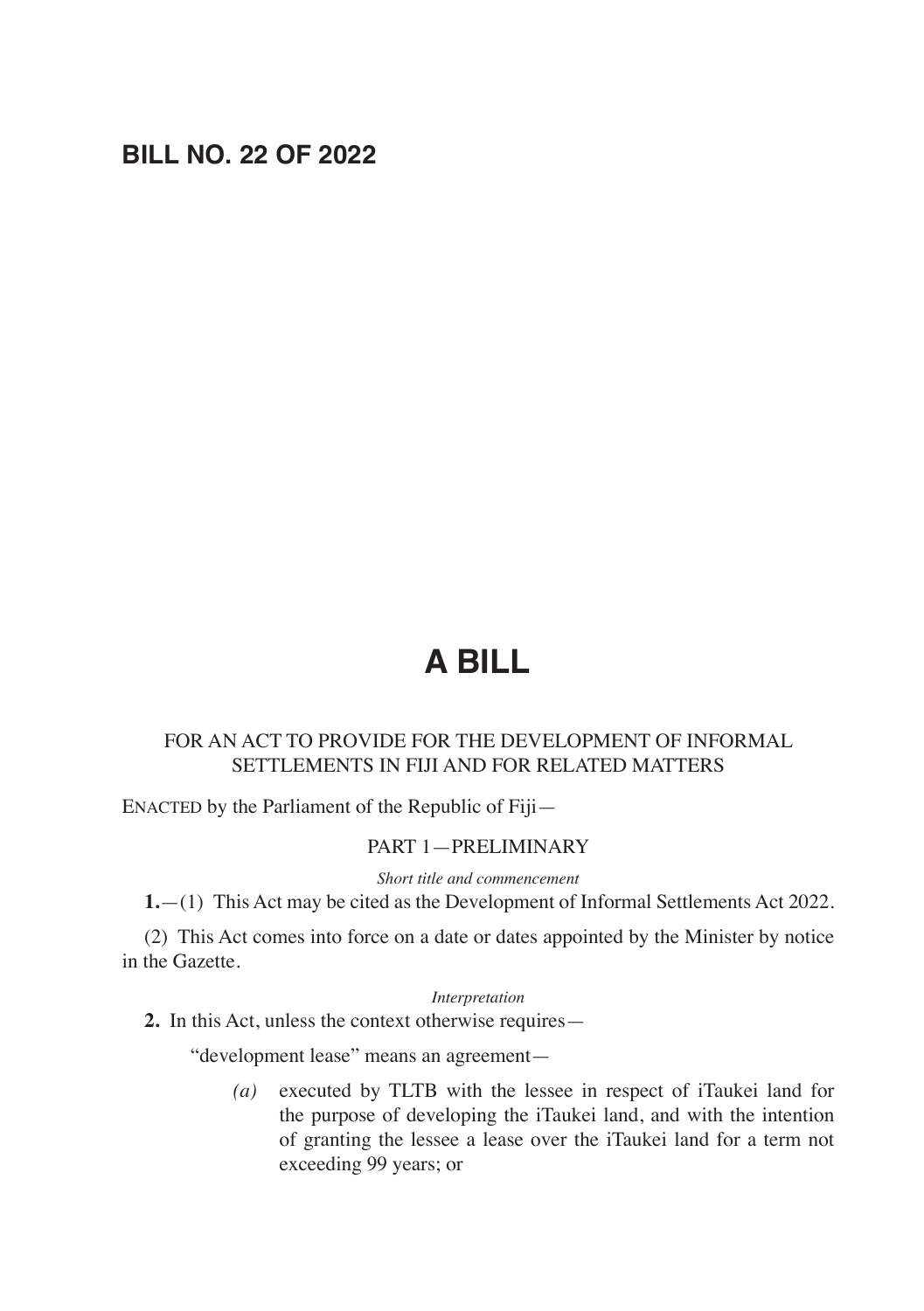## **BILL NO. 22 OF 2022**

## **A BILL**

## FOR AN ACT TO PROVIDE FOR THE DEVELOPMENT OF INFORMAL SETTLEMENTS IN FIJI AND FOR RELATED MATTERS

ENACTED by the Parliament of the Republic of Fiji—

#### PART 1—PRELIMINARY

*Short title and commencement*

**1.**—(1) This Act may be cited as the Development of Informal Settlements Act 2022.

(2) This Act comes into force on a date or dates appointed by the Minister by notice in the Gazette.

*Interpretation*

**2.** In this Act, unless the context otherwise requires—

"development lease" means an agreement—

*(a)* executed by TLTB with the lessee in respect of iTaukei land for the purpose of developing the iTaukei land, and with the intention of granting the lessee a lease over the iTaukei land for a term not exceeding 99 years; or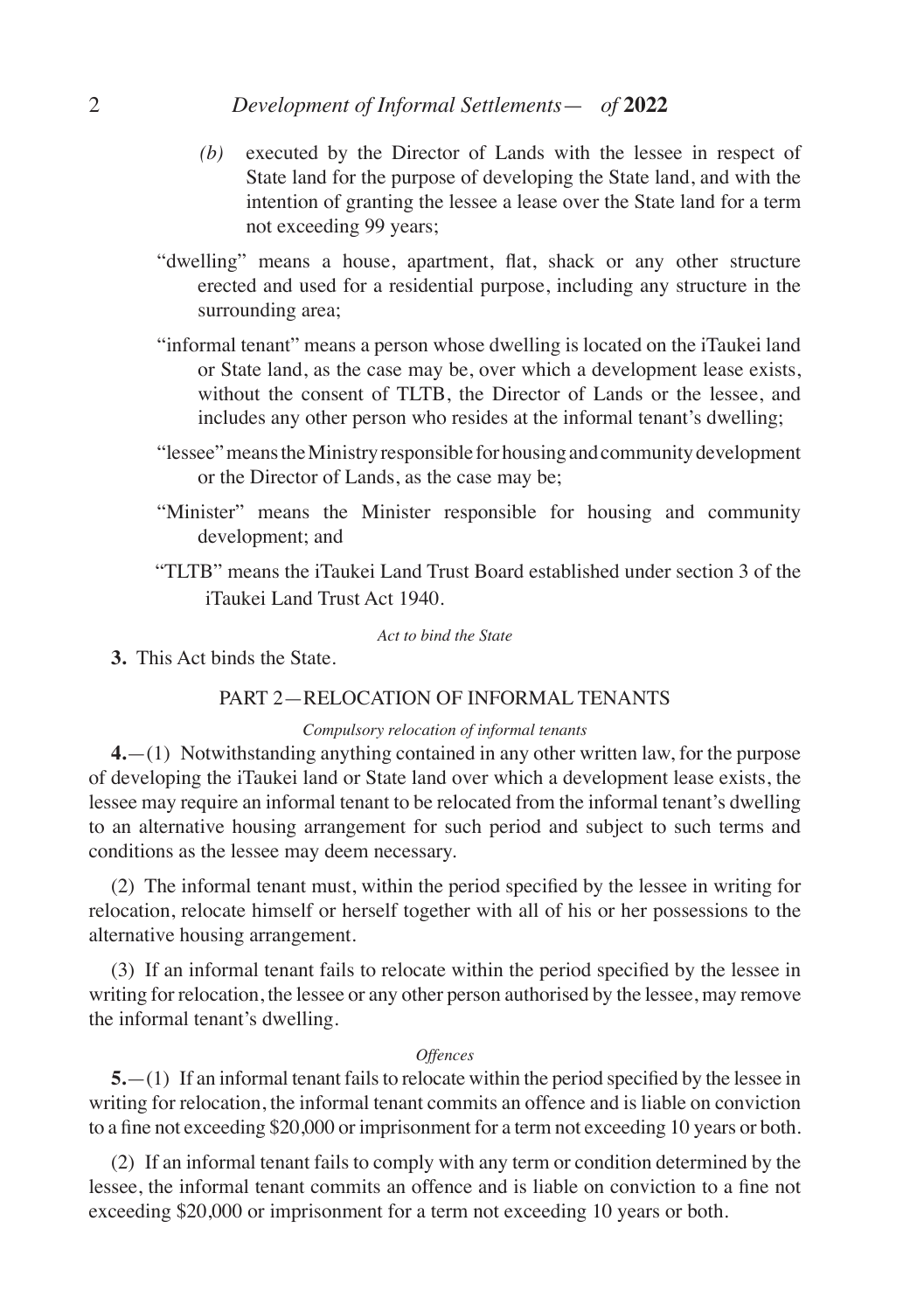### 2 *Development of Informal Settlements*— *of* **2022**

- *(b)* executed by the Director of Lands with the lessee in respect of State land for the purpose of developing the State land, and with the intention of granting the lessee a lease over the State land for a term not exceeding 99 years;
- "dwelling" means a house, apartment, flat, shack or any other structure erected and used for a residential purpose, including any structure in the surrounding area;
- "informal tenant" means a person whose dwelling is located on the iTaukei land or State land, as the case may be, over which a development lease exists, without the consent of TLTB, the Director of Lands or the lessee, and includes any other person who resides at the informal tenant's dwelling;
- "lessee" means the Ministry responsible for housing and community development or the Director of Lands, as the case may be;
- "Minister" means the Minister responsible for housing and community development; and
- "TLTB" means the iTaukei Land Trust Board established under section 3 of the iTaukei Land Trust Act 1940.

#### *Act to bind the State*

**3.** This Act binds the State.

## PART 2—RELOCATION OF INFORMAL TENANTS

#### *Compulsory relocation of informal tenants*

**4.**—(1) Notwithstanding anything contained in any other written law, for the purpose of developing the iTaukei land or State land over which a development lease exists, the lessee may require an informal tenant to be relocated from the informal tenant's dwelling to an alternative housing arrangement for such period and subject to such terms and conditions as the lessee may deem necessary.

(2) The informal tenant must, within the period specified by the lessee in writing for relocation, relocate himself or herself together with all of his or her possessions to the alternative housing arrangement.

(3) If an informal tenant fails to relocate within the period specified by the lessee in writing for relocation, the lessee or any other person authorised by the lessee, may remove the informal tenant's dwelling.

#### *Offences*

**5.**—(1) If an informal tenant fails to relocate within the period specified by the lessee in writing for relocation, the informal tenant commits an offence and is liable on conviction to a fine not exceeding \$20,000 or imprisonment for a term not exceeding 10 years or both.

(2) If an informal tenant fails to comply with any term or condition determined by the lessee, the informal tenant commits an offence and is liable on conviction to a fine not exceeding \$20,000 or imprisonment for a term not exceeding 10 years or both.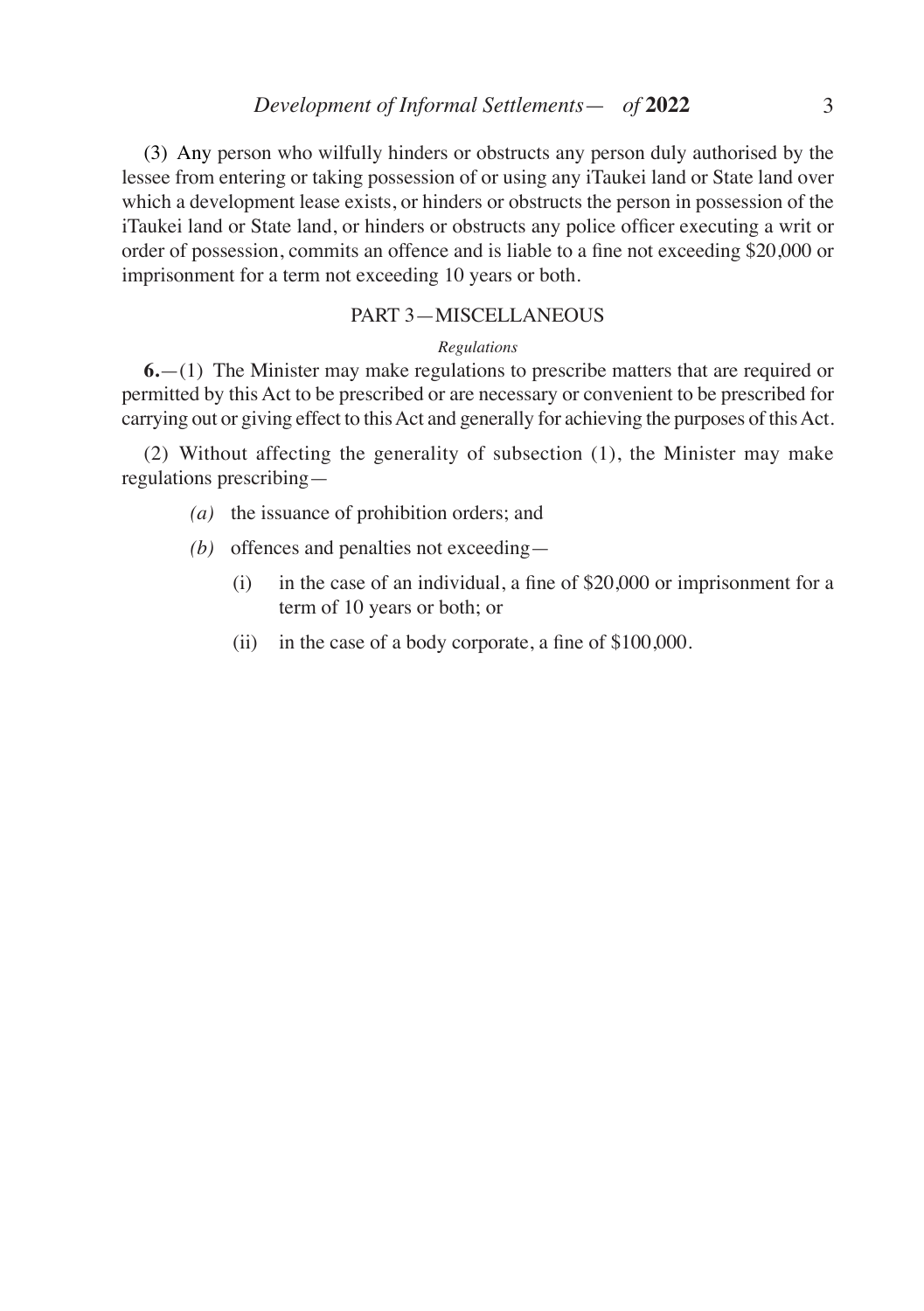(3) Any person who wilfully hinders or obstructs any person duly authorised by the lessee from entering or taking possession of or using any iTaukei land or State land over which a development lease exists, or hinders or obstructs the person in possession of the iTaukei land or State land, or hinders or obstructs any police officer executing a writ or order of possession, commits an offence and is liable to a fine not exceeding \$20,000 or imprisonment for a term not exceeding 10 years or both.

#### PART 3—MISCELLANEOUS

#### *Regulations*

**6.**—(1) The Minister may make regulations to prescribe matters that are required or permitted by this Act to be prescribed or are necessary or convenient to be prescribed for carrying out or giving effect to this Act and generally for achieving the purposes of this Act.

(2) Without affecting the generality of subsection (1), the Minister may make regulations prescribing—

- *(a)* the issuance of prohibition orders; and
- *(b)* offences and penalties not exceeding—
	- (i) in the case of an individual, a fine of \$20,000 or imprisonment for a term of 10 years or both; or
	- (ii) in the case of a body corporate, a fine of \$100,000.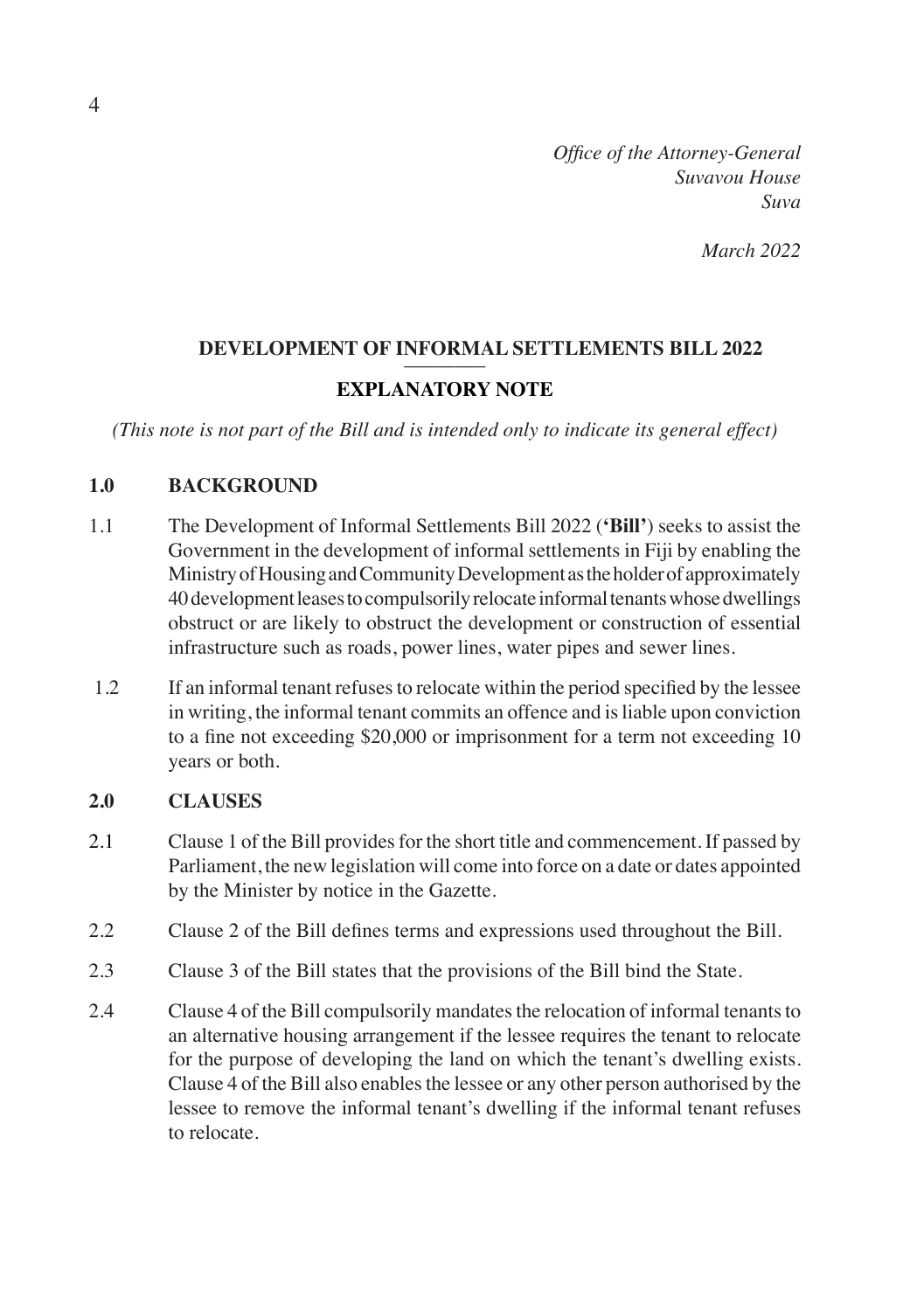*Office of the Attorney-General Suvavou House Suva*

*March 2022*

# **DEVELOPMENT OF INFORMAL SETTLEMENTS BILL 2022**

## **EXPLANATORY NOTE**

*(This note is not part of the Bill and is intended only to indicate its general effect)*

## **1.0 BACKGROUND**

- 1.1 The Development of Informal Settlements Bill 2022 (**'Bill'**) seeks to assist the Government in the development of informal settlements in Fiji by enabling the Ministry of Housing and Community Development as the holder of approximately 40 development leases to compulsorily relocate informal tenants whose dwellings obstruct or are likely to obstruct the development or construction of essential infrastructure such as roads, power lines, water pipes and sewer lines.
- 1.2 If an informal tenant refuses to relocate within the period specified by the lessee in writing, the informal tenant commits an offence and is liable upon conviction to a fine not exceeding \$20,000 or imprisonment for a term not exceeding 10 years or both.

## **2.0 CLAUSES**

- 2.1 Clause 1 of the Bill provides for the short title and commencement. If passed by Parliament, the new legislation will come into force on a date or dates appointed by the Minister by notice in the Gazette.
- 2.2 Clause 2 of the Bill defines terms and expressions used throughout the Bill.
- 2.3 Clause 3 of the Bill states that the provisions of the Bill bind the State.
- 2.4 Clause 4 of the Bill compulsorily mandates the relocation of informal tenants to an alternative housing arrangement if the lessee requires the tenant to relocate for the purpose of developing the land on which the tenant's dwelling exists. Clause 4 of the Bill also enables the lessee or any other person authorised by the lessee to remove the informal tenant's dwelling if the informal tenant refuses to relocate.